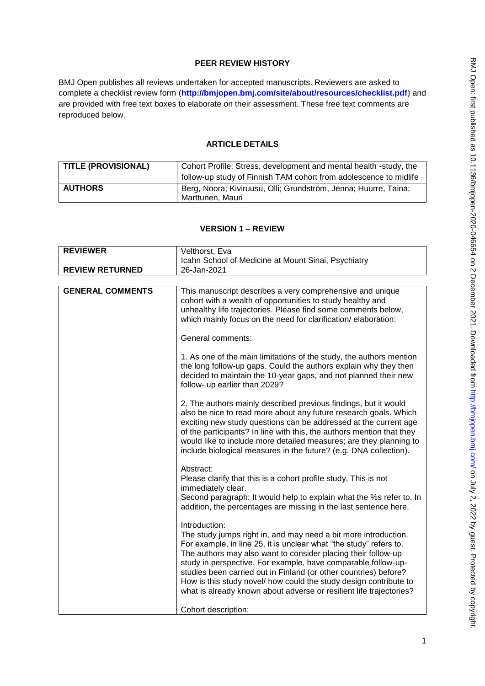# **PEER REVIEW HISTORY**

BMJ Open publishes all reviews undertaken for accepted manuscripts. Reviewers are asked to complete a checklist review form (**[http://bmjopen.bmj.com/site/about/resources/checklist.pdf\)](http://bmjopen.bmj.com/site/about/resources/checklist.pdf)** and are provided with free text boxes to elaborate on their assessment. These free text comments are reproduced below.

# **ARTICLE DETAILS**

| <b>TITLE (PROVISIONAL)</b> | Cohort Profile: Stress, development and mental health -study, the |
|----------------------------|-------------------------------------------------------------------|
|                            | follow-up study of Finnish TAM cohort from adolescence to midlife |
| <b>AUTHORS</b>             | Berg, Noora; Kiviruusu, Olli; Grundström, Jenna; Huurre, Taina;   |
|                            | Marttunen, Mauri                                                  |

# **VERSION 1 – REVIEW**

| <b>REVIEWER</b>         | Velthorst, Eva                                                                                                                                                                                                                                                                                                                                                                                                                                                                                           |
|-------------------------|----------------------------------------------------------------------------------------------------------------------------------------------------------------------------------------------------------------------------------------------------------------------------------------------------------------------------------------------------------------------------------------------------------------------------------------------------------------------------------------------------------|
|                         | Icahn School of Medicine at Mount Sinai, Psychiatry                                                                                                                                                                                                                                                                                                                                                                                                                                                      |
| <b>REVIEW RETURNED</b>  | 26-Jan-2021                                                                                                                                                                                                                                                                                                                                                                                                                                                                                              |
|                         |                                                                                                                                                                                                                                                                                                                                                                                                                                                                                                          |
| <b>GENERAL COMMENTS</b> | This manuscript describes a very comprehensive and unique<br>cohort with a wealth of opportunities to study healthy and<br>unhealthy life trajectories. Please find some comments below,<br>which mainly focus on the need for clarification/elaboration:                                                                                                                                                                                                                                                |
|                         | General comments:                                                                                                                                                                                                                                                                                                                                                                                                                                                                                        |
|                         | 1. As one of the main limitations of the study, the authors mention<br>the long follow-up gaps. Could the authors explain why they then<br>decided to maintain the 10-year gaps, and not planned their new<br>follow- up earlier than 2029?                                                                                                                                                                                                                                                              |
|                         | 2. The authors mainly described previous findings, but it would<br>also be nice to read more about any future research goals. Which<br>exciting new study questions can be addressed at the current age<br>of the participants? In line with this, the authors mention that they<br>would like to include more detailed measures; are they planning to<br>include biological measures in the future? (e.g. DNA collection).                                                                              |
|                         | Abstract:<br>Please clarify that this is a cohort profile study. This is not<br>immediately clear.<br>Second paragraph: It would help to explain what the %s refer to. In<br>addition, the percentages are missing in the last sentence here.                                                                                                                                                                                                                                                            |
|                         | Introduction:<br>The study jumps right in, and may need a bit more introduction.<br>For example, in line 25, it is unclear what "the study" refers to.<br>The authors may also want to consider placing their follow-up<br>study in perspective. For example, have comparable follow-up-<br>studies been carried out in Finland (or other countries) before?<br>How is this study novel/ how could the study design contribute to<br>what is already known about adverse or resilient life trajectories? |
|                         | Cohort description:                                                                                                                                                                                                                                                                                                                                                                                                                                                                                      |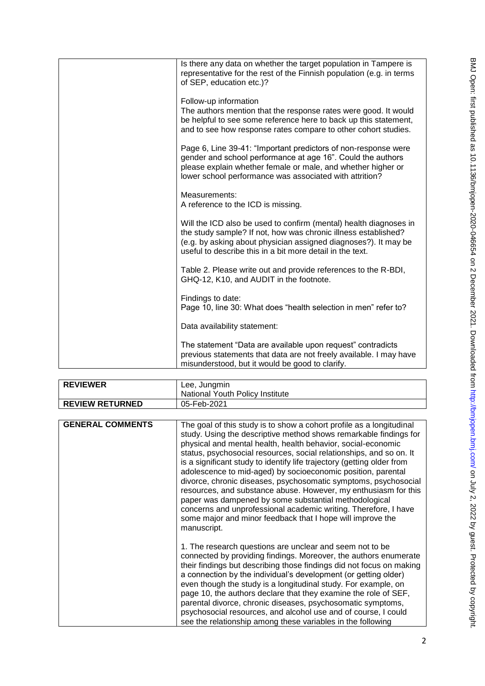| Is there any data on whether the target population in Tampere is<br>representative for the rest of the Finnish population (e.g. in terms<br>of SEP, education etc.)?                                                                                                |
|---------------------------------------------------------------------------------------------------------------------------------------------------------------------------------------------------------------------------------------------------------------------|
| Follow-up information<br>The authors mention that the response rates were good. It would<br>be helpful to see some reference here to back up this statement,<br>and to see how response rates compare to other cohort studies.                                      |
| Page 6, Line 39-41: "Important predictors of non-response were<br>gender and school performance at age 16". Could the authors<br>please explain whether female or male, and whether higher or<br>lower school performance was associated with attrition?            |
| Measurements:<br>A reference to the ICD is missing.                                                                                                                                                                                                                 |
| Will the ICD also be used to confirm (mental) health diagnoses in<br>the study sample? If not, how was chronic illness established?<br>(e.g. by asking about physician assigned diagnoses?). It may be<br>useful to describe this in a bit more detail in the text. |
| Table 2. Please write out and provide references to the R-BDI,<br>GHQ-12, K10, and AUDIT in the footnote.                                                                                                                                                           |
| Findings to date:<br>Page 10, line 30: What does "health selection in men" refer to?                                                                                                                                                                                |
| Data availability statement:                                                                                                                                                                                                                                        |
| The statement "Data are available upon request" contradicts<br>previous statements that data are not freely available. I may have<br>misunderstood, but it would be good to clarify.                                                                                |

| <b>REVIEWER</b>         | Lee, Jungmin                                                                                                                                                                                                                                                                                                                                                                                                                                                                                                                                                                                                                                                                                                                                                              |
|-------------------------|---------------------------------------------------------------------------------------------------------------------------------------------------------------------------------------------------------------------------------------------------------------------------------------------------------------------------------------------------------------------------------------------------------------------------------------------------------------------------------------------------------------------------------------------------------------------------------------------------------------------------------------------------------------------------------------------------------------------------------------------------------------------------|
|                         | National Youth Policy Institute                                                                                                                                                                                                                                                                                                                                                                                                                                                                                                                                                                                                                                                                                                                                           |
| <b>REVIEW RETURNED</b>  | 05-Feb-2021                                                                                                                                                                                                                                                                                                                                                                                                                                                                                                                                                                                                                                                                                                                                                               |
|                         |                                                                                                                                                                                                                                                                                                                                                                                                                                                                                                                                                                                                                                                                                                                                                                           |
| <b>GENERAL COMMENTS</b> | The goal of this study is to show a cohort profile as a longitudinal<br>study. Using the descriptive method shows remarkable findings for<br>physical and mental health, health behavior, social-economic<br>status, psychosocial resources, social relationships, and so on. It<br>is a significant study to identify life trajectory (getting older from<br>adolescence to mid-aged) by socioeconomic position, parental<br>divorce, chronic diseases, psychosomatic symptoms, psychosocial<br>resources, and substance abuse. However, my enthusiasm for this<br>paper was dampened by some substantial methodological<br>concerns and unprofessional academic writing. Therefore, I have<br>some major and minor feedback that I hope will improve the<br>manuscript. |
|                         | 1. The research questions are unclear and seem not to be<br>connected by providing findings. Moreover, the authors enumerate<br>their findings but describing those findings did not focus on making<br>a connection by the individual's development (or getting older)<br>even though the study is a longitudinal study. For example, on<br>page 10, the authors declare that they examine the role of SEF,<br>parental divorce, chronic diseases, psychosomatic symptoms,<br>psychosocial resources, and alcohol use and of course, I could<br>see the relationship among these variables in the following                                                                                                                                                              |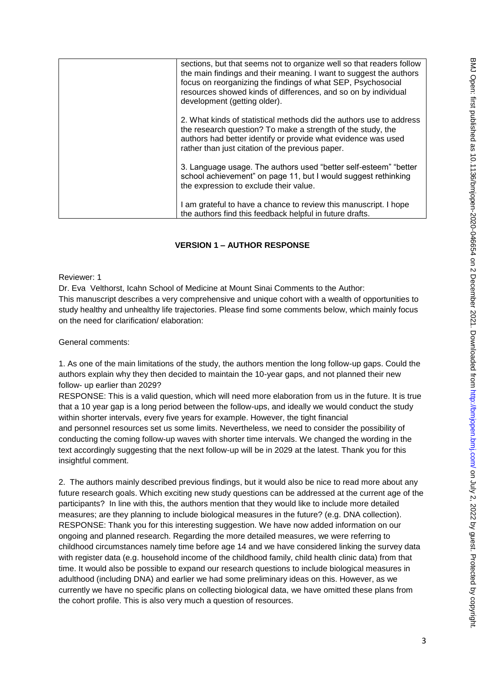| sections, but that seems not to organize well so that readers follow<br>the main findings and their meaning. I want to suggest the authors<br>focus on reorganizing the findings of what SEP, Psychosocial<br>resources showed kinds of differences, and so on by individual<br>development (getting older). |
|--------------------------------------------------------------------------------------------------------------------------------------------------------------------------------------------------------------------------------------------------------------------------------------------------------------|
| 2. What kinds of statistical methods did the authors use to address<br>the research question? To make a strength of the study, the<br>authors had better identify or provide what evidence was used<br>rather than just citation of the previous paper.                                                      |
| 3. Language usage. The authors used "better self-esteem" "better<br>school achievement" on page 11, but I would suggest rethinking<br>the expression to exclude their value.                                                                                                                                 |
| I am grateful to have a chance to review this manuscript. I hope<br>the authors find this feedback helpful in future drafts.                                                                                                                                                                                 |

# **VERSION 1 – AUTHOR RESPONSE**

Reviewer: 1

Dr. Eva Velthorst, Icahn School of Medicine at Mount Sinai Comments to the Author: This manuscript describes a very comprehensive and unique cohort with a wealth of opportunities to study healthy and unhealthy life trajectories. Please find some comments below, which mainly focus on the need for clarification/ elaboration:

General comments:

1. As one of the main limitations of the study, the authors mention the long follow-up gaps. Could the authors explain why they then decided to maintain the 10-year gaps, and not planned their new follow- up earlier than 2029?

RESPONSE: This is a valid question, which will need more elaboration from us in the future. It is true that a 10 year gap is a long period between the follow-ups, and ideally we would conduct the study within shorter intervals, every five years for example. However, the tight financial and personnel resources set us some limits. Nevertheless, we need to consider the possibility of conducting the coming follow-up waves with shorter time intervals. We changed the wording in the text accordingly suggesting that the next follow-up will be in 2029 at the latest. Thank you for this insightful comment.

2. The authors mainly described previous findings, but it would also be nice to read more about any future research goals. Which exciting new study questions can be addressed at the current age of the participants? In line with this, the authors mention that they would like to include more detailed measures; are they planning to include biological measures in the future? (e.g. DNA collection). RESPONSE: Thank you for this interesting suggestion. We have now added information on our ongoing and planned research. Regarding the more detailed measures, we were referring to childhood circumstances namely time before age 14 and we have considered linking the survey data with register data (e.g. household income of the childhood family, child health clinic data) from that time. It would also be possible to expand our research questions to include biological measures in adulthood (including DNA) and earlier we had some preliminary ideas on this. However, as we currently we have no specific plans on collecting biological data, we have omitted these plans from the cohort profile. This is also very much a question of resources.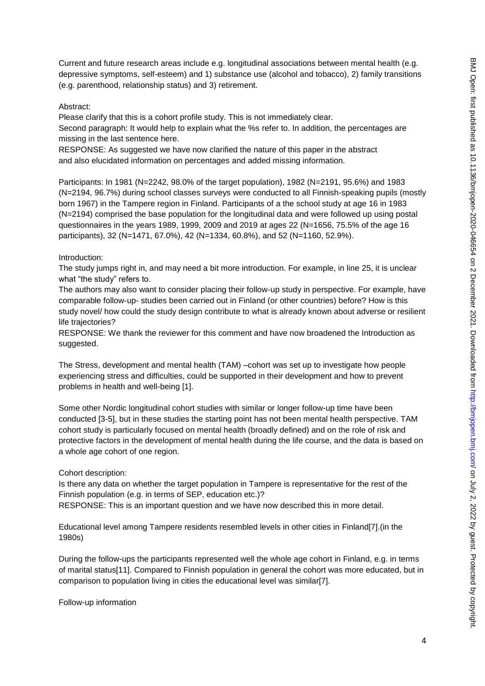Current and future research areas include e.g. longitudinal associations between mental health (e.g. depressive symptoms, self-esteem) and 1) substance use (alcohol and tobacco), 2) family transitions (e.g. parenthood, relationship status) and 3) retirement.

#### Abstract:

Please clarify that this is a cohort profile study. This is not immediately clear.

Second paragraph: It would help to explain what the %s refer to. In addition, the percentages are missing in the last sentence here.

RESPONSE: As suggested we have now clarified the nature of this paper in the abstract and also elucidated information on percentages and added missing information.

Participants: In 1981 (N=2242, 98.0% of the target population), 1982 (N=2191, 95.6%) and 1983 (N=2194, 96.7%) during school classes surveys were conducted to all Finnish-speaking pupils (mostly born 1967) in the Tampere region in Finland. Participants of a the school study at age 16 in 1983 (N=2194) comprised the base population for the longitudinal data and were followed up using postal questionnaires in the years 1989, 1999, 2009 and 2019 at ages 22 (N=1656, 75.5% of the age 16 participants), 32 (N=1471, 67.0%), 42 (N=1334, 60.8%), and 52 (N=1160, 52.9%).

### Introduction:

The study jumps right in, and may need a bit more introduction. For example, in line 25, it is unclear what "the study" refers to.

The authors may also want to consider placing their follow-up study in perspective. For example, have comparable follow-up- studies been carried out in Finland (or other countries) before? How is this study novel/ how could the study design contribute to what is already known about adverse or resilient life trajectories?

RESPONSE: We thank the reviewer for this comment and have now broadened the Introduction as suggested.

The Stress, development and mental health (TAM) –cohort was set up to investigate how people experiencing stress and difficulties, could be supported in their development and how to prevent problems in health and well-being [1].

Some other Nordic longitudinal cohort studies with similar or longer follow-up time have been conducted [3-5], but in these studies the starting point has not been mental health perspective. TAM cohort study is particularly focused on mental health (broadly defined) and on the role of risk and protective factors in the development of mental health during the life course, and the data is based on a whole age cohort of one region.

### Cohort description:

Is there any data on whether the target population in Tampere is representative for the rest of the Finnish population (e.g. in terms of SEP, education etc.)? RESPONSE: This is an important question and we have now described this in more detail.

Educational level among Tampere residents resembled levels in other cities in Finland[7].(in the 1980s)

During the follow-ups the participants represented well the whole age cohort in Finland, e.g. in terms of marital status[11]. Compared to Finnish population in general the cohort was more educated, but in comparison to population living in cities the educational level was similar[7].

Follow-up information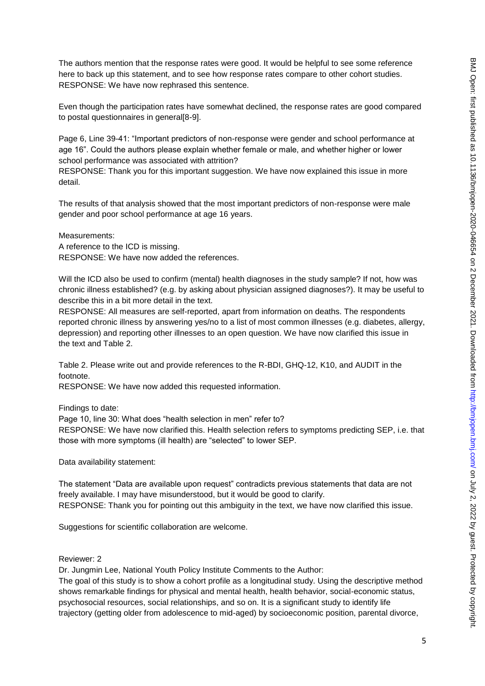The authors mention that the response rates were good. It would be helpful to see some reference here to back up this statement, and to see how response rates compare to other cohort studies. RESPONSE: We have now rephrased this sentence.

Even though the participation rates have somewhat declined, the response rates are good compared to postal questionnaires in general[8-9].

Page 6, Line 39-41: "Important predictors of non-response were gender and school performance at age 16". Could the authors please explain whether female or male, and whether higher or lower school performance was associated with attrition?

RESPONSE: Thank you for this important suggestion. We have now explained this issue in more detail.

The results of that analysis showed that the most important predictors of non-response were male gender and poor school performance at age 16 years.

Measurements: A reference to the ICD is missing. RESPONSE: We have now added the references.

Will the ICD also be used to confirm (mental) health diagnoses in the study sample? If not, how was chronic illness established? (e.g. by asking about physician assigned diagnoses?). It may be useful to describe this in a bit more detail in the text.

RESPONSE: All measures are self-reported, apart from information on deaths. The respondents reported chronic illness by answering yes/no to a list of most common illnesses (e.g. diabetes, allergy, depression) and reporting other illnesses to an open question. We have now clarified this issue in the text and Table 2.

Table 2. Please write out and provide references to the R-BDI, GHQ-12, K10, and AUDIT in the footnote.

RESPONSE: We have now added this requested information.

Findings to date:

Page 10, line 30: What does "health selection in men" refer to? RESPONSE: We have now clarified this. Health selection refers to symptoms predicting SEP, i.e. that those with more symptoms (ill health) are "selected" to lower SEP.

Data availability statement:

The statement "Data are available upon request" contradicts previous statements that data are not freely available. I may have misunderstood, but it would be good to clarify. RESPONSE: Thank you for pointing out this ambiguity in the text, we have now clarified this issue.

Suggestions for scientific collaboration are welcome.

### Reviewer: 2

Dr. Jungmin Lee, National Youth Policy Institute Comments to the Author:

The goal of this study is to show a cohort profile as a longitudinal study. Using the descriptive method shows remarkable findings for physical and mental health, health behavior, social-economic status, psychosocial resources, social relationships, and so on. It is a significant study to identify life trajectory (getting older from adolescence to mid-aged) by socioeconomic position, parental divorce,